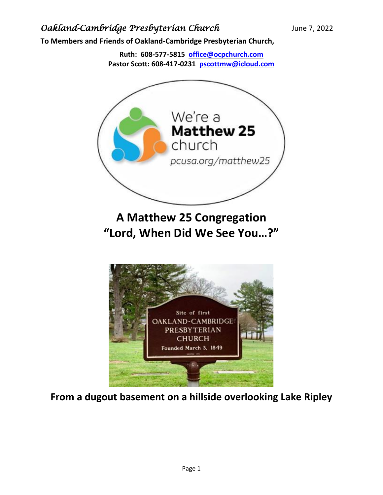**To Members and Friends of Oakland-Cambridge Presbyterian Church,**

**Ruth: 608-577-5815 [office@ocpchurch.com](mailto:office@ocpchurch.com) Pastor Scott: 608-417-0231 [pscottmw@icloud.com](mailto:pscottmw@icloud.com)**



**From a dugout basement on a hillside overlooking Lake Ripley**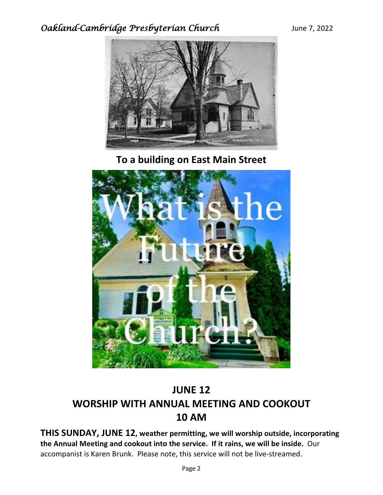

**To a building on East Main Street**



# **JUNE 12 WORSHIP WITH ANNUAL MEETING AND COOKOUT 10 AM**

**THIS SUNDAY, JUNE 12, weather permitting, we will worship outside, incorporating the Annual Meeting and cookout into the service. If it rains, we will be inside.** Our accompanist is Karen Brunk. Please note, this service will not be live-streamed.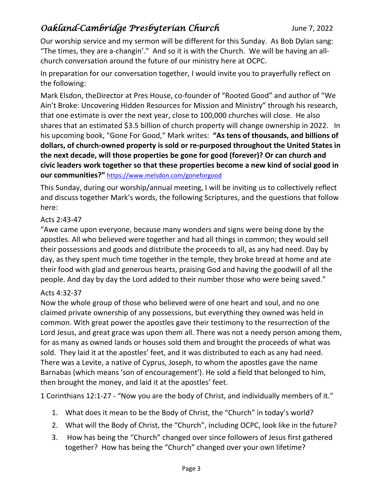Our worship service and my sermon will be different for this Sunday. As Bob Dylan sang: "The times, they are a-changin'." And so it is with the Church. We will be having an allchurch conversation around the future of our ministry here at OCPC.

In preparation for our conversation together, I would invite you to prayerfully reflect on the following:

Mark Elsdon, theDirector at Pres House, co-founder of "Rooted Good" and author of "We Ain't Broke: Uncovering Hidden Resources for Mission and Ministry" through his research, that one estimate is over the next year, close to 100,000 churches will close. He also shares that an estimated \$3.5 billion of church property will change ownership in 2022. In his upcoming book, "Gone For Good," Mark writes: **"As tens of thousands, and billions of dollars, of church-owned property is sold or re-purposed throughout the United States in the next decade, will those properties be gone for good (forever)? Or can church and civic leaders work together so that these properties become a new kind of social good in our communities?"** <https://www.melsdon.com/goneforgood>

This Sunday, during our worship/annual meeting, I will be inviting us to collectively reflect and discuss together Mark's words, the following Scriptures, and the questions that follow here:

#### Acts 2:43-47

"Awe came upon everyone, because many wonders and signs were being done by the apostles. All who believed were together and had all things in common; they would sell their possessions and goods and distribute the proceeds to all, as any had need. Day by day, as they spent much time together in the temple, they broke bread at home and ate their food with glad and generous hearts, praising God and having the goodwill of all the people. And day by day the Lord added to their number those who were being saved."

#### Acts 4:32-37

Now the whole group of those who believed were of one heart and soul, and no one claimed private ownership of any possessions, but everything they owned was held in common. With great power the apostles gave their testimony to the resurrection of the Lord Jesus, and great grace was upon them all. There was not a needy person among them, for as many as owned lands or houses sold them and brought the proceeds of what was sold. They laid it at the apostles' feet, and it was distributed to each as any had need. There was a Levite, a native of Cyprus, Joseph, to whom the apostles gave the name Barnabas (which means 'son of encouragement'). He sold a field that belonged to him, then brought the money, and laid it at the apostles' feet.

1 Corinthians 12:1-27 - "Now you are the body of Christ, and individually members of it."

- 1. What does it mean to be the Body of Christ, the "Church" in today's world?
- 2. What will the Body of Christ, the "Church", including OCPC, look like in the future?
- 3. How has being the "Church" changed over since followers of Jesus first gathered together? How has being the "Church" changed over your own lifetime?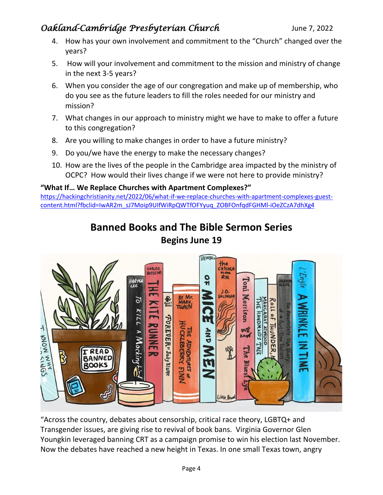- 4. How has your own involvement and commitment to the "Church" changed over the years?
- 5. How will your involvement and commitment to the mission and ministry of change in the next 3-5 years?
- 6. When you consider the age of our congregation and make up of membership, who do you see as the future leaders to fill the roles needed for our ministry and mission?
- 7. What changes in our approach to ministry might we have to make to offer a future to this congregation?
- 8. Are you willing to make changes in order to have a future ministry?
- 9. Do you/we have the energy to make the necessary changes?
- 10. How are the lives of the people in the Cambridge area impacted by the ministry of OCPC? How would their lives change if we were not here to provide ministry?

#### **"What If… We Replace Churches with Apartment Complexes?"**

[https://hackingchristianity.net/2022/06/what-if-we-replace-churches-with-apartment-complexes-guest](https://hackingchristianity.net/2022/06/what-if-we-replace-churches-with-apartment-complexes-guest-content.html?fbclid=IwAR2m_sJ7Moip9UIfWiRpQWTfOFYyuq_ZOBFOnfqdFGHMl-iOeZCzA7dhXg4)[content.html?fbclid=IwAR2m\\_sJ7Moip9UIfWiRpQWTfOFYyuq\\_ZOBFOnfqdFGHMl-iOeZCzA7dhXg4](https://hackingchristianity.net/2022/06/what-if-we-replace-churches-with-apartment-complexes-guest-content.html?fbclid=IwAR2m_sJ7Moip9UIfWiRpQWTfOFYyuq_ZOBFOnfqdFGHMl-iOeZCzA7dhXg4)

## **Banned Books and The Bible Sermon Series Begins June 19**



"Across the country, debates about censorship, critical race theory, LGBTQ+ and Transgender issues, are giving rise to revival of book bans. Virginia Governor Glen Youngkin leveraged banning CRT as a campaign promise to win his election last November. Now the debates have reached a new height in Texas. In one small Texas town, angry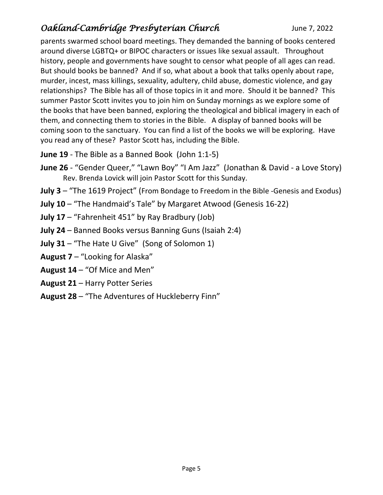parents swarmed school board meetings. They demanded the banning of books centered around diverse LGBTQ+ or BIPOC characters or issues like sexual assault. Throughout history, people and governments have sought to censor what people of all ages can read. But should books be banned? And if so, what about a book that talks openly about rape, murder, incest, mass killings, sexuality, adultery, child abuse, domestic violence, and gay relationships? The Bible has all of those topics in it and more. Should it be banned? This summer Pastor Scott invites you to join him on Sunday mornings as we explore some of the books that have been banned, exploring the theological and biblical imagery in each of them, and connecting them to stories in the Bible. A display of banned books will be coming soon to the sanctuary. You can find a list of the books we will be exploring. Have you read any of these? Pastor Scott has, including the Bible.

- **June 19** The Bible as a Banned Book (John 1:1-5)
- **June 26** "Gender Queer," "Lawn Boy" "I Am Jazz" (Jonathan & David a Love Story) Rev. Brenda Lovick will join Pastor Scott for this Sunday.
- **July 3** "The 1619 Project" (From Bondage to Freedom in the Bible -Genesis and Exodus)
- **July 10** "The Handmaid's Tale" by Margaret Atwood (Genesis 16-22)
- **July 17** "Fahrenheit 451" by Ray Bradbury (Job)
- **July 24** Banned Books versus Banning Guns (Isaiah 2:4)
- **July 31** "The Hate U Give" (Song of Solomon 1)
- **August 7** "Looking for Alaska"
- **August 14** "Of Mice and Men"
- **August 21** Harry Potter Series
- **August 28** "The Adventures of Huckleberry Finn"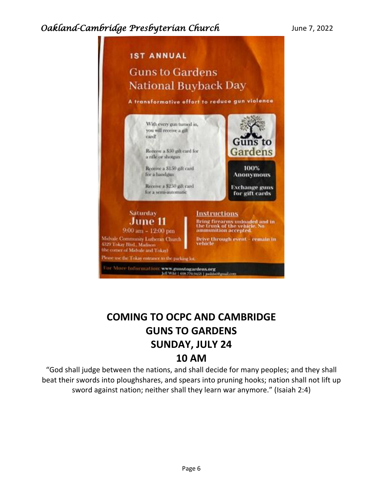

# **COMING TO OCPC AND CAMBRIDGE GUNS TO GARDENS SUNDAY, JULY 24 10 AM**

"God shall judge between the nations, and shall decide for many peoples; and they shall beat their swords into ploughshares, and spears into pruning hooks; nation shall not lift up sword against nation; neither shall they learn war anymore." (Isaiah 2:4)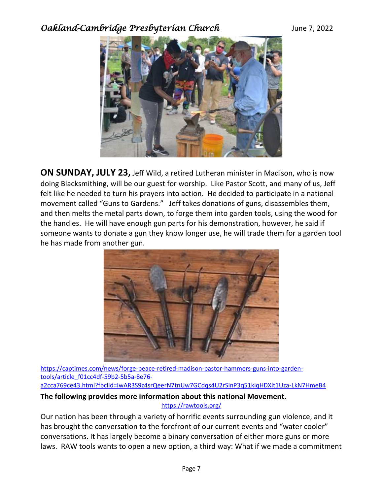

**ON SUNDAY, JULY 23,** Jeff Wild, a retired Lutheran minister in Madison, who is now doing Blacksmithing, will be our guest for worship. Like Pastor Scott, and many of us, Jeff felt like he needed to turn his prayers into action. He decided to participate in a national movement called "Guns to Gardens." Jeff takes donations of guns, disassembles them, and then melts the metal parts down, to forge them into garden tools, using the wood for the handles. He will have enough gun parts for his demonstration, however, he said if someone wants to donate a gun they know longer use, he will trade them for a garden tool he has made from another gun.



[https://captimes.com/news/forge-peace-retired-madison-pastor-hammers-guns-into-garden](https://captimes.com/news/forge-peace-retired-madison-pastor-hammers-guns-into-garden-tools/article_f01cc4df-59b2-5b5a-8e76-a2cca769ce43.html?fbclid=IwAR3S9z4srQeerN7tnUw7GCdqs4U2rSInP3q51kiqHDXlt1Uza-LkN7HmeB4)[tools/article\\_f01cc4df-59b2-5b5a-8e76-](https://captimes.com/news/forge-peace-retired-madison-pastor-hammers-guns-into-garden-tools/article_f01cc4df-59b2-5b5a-8e76-a2cca769ce43.html?fbclid=IwAR3S9z4srQeerN7tnUw7GCdqs4U2rSInP3q51kiqHDXlt1Uza-LkN7HmeB4)

[a2cca769ce43.html?fbclid=IwAR3S9z4srQeerN7tnUw7GCdqs4U2rSInP3q51kiqHDXlt1Uza-LkN7HmeB4](https://captimes.com/news/forge-peace-retired-madison-pastor-hammers-guns-into-garden-tools/article_f01cc4df-59b2-5b5a-8e76-a2cca769ce43.html?fbclid=IwAR3S9z4srQeerN7tnUw7GCdqs4U2rSInP3q51kiqHDXlt1Uza-LkN7HmeB4)

#### **The following provides more information about this national Movement.**

<https://rawtools.org/>

Our nation has been through a variety of horrific events surrounding gun violence, and it has brought the conversation to the forefront of our current events and "water cooler" conversations. It has largely become a binary conversation of either more guns or more laws. RAW tools wants to open a new option, a third way: What if we made a commitment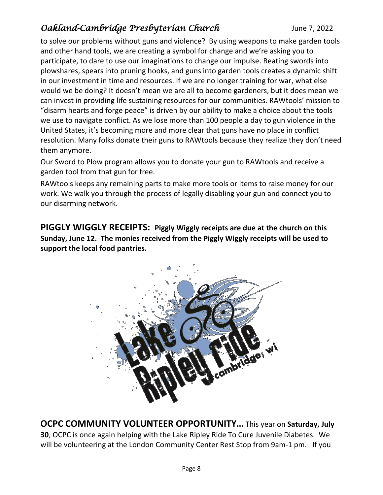to solve our problems without guns and violence? By using weapons to make garden tools and other hand tools, we are creating a symbol for change and we're asking you to participate, to dare to use our imaginations to change our impulse. Beating swords into plowshares, spears into pruning hooks, and guns into garden tools creates a dynamic shift in our investment in time and resources. If we are no longer training for war, what else would we be doing? It doesn't mean we are all to become gardeners, but it does mean we can invest in providing life sustaining resources for our communities. RAWtools' mission to "disarm hearts and forge peace" is driven by our ability to make a choice about the tools we use to navigate conflict. As we lose more than 100 people a day to gun violence in the United States, it's becoming more and more clear that guns have no place in conflict resolution. Many folks donate their guns to RAWtools because they realize they don't need them anymore.

Our Sword to Plow program allows you to donate your gun to RAWtools and receive a garden tool from that gun for free.

RAWtools keeps any remaining parts to make more tools or items to raise money for our work. We walk you through the process of legally disabling your gun and connect you to our disarming network.

**PIGGLY WIGGLY RECEIPTS: Piggly Wiggly receipts are due at the church on this Sunday, June 12. The monies received from the Piggly Wiggly receipts will be used to support the local food pantries.**



**OCPC COMMUNITY VOLUNTEER OPPORTUNITY…** This year on **Saturday, July 30**, OCPC is once again helping with the Lake Ripley Ride To Cure Juvenile Diabetes. We will be volunteering at the London Community Center Rest Stop from 9am-1 pm. If you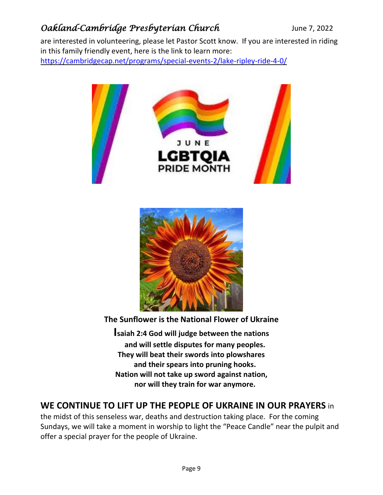are interested in volunteering, please let Pastor Scott know. If you are interested in riding in this family friendly event, here is the link to learn more: <https://cambridgecap.net/programs/special-events-2/lake-ripley-ride-4-0/>



 **nor will they train for war anymore.**

### **WE CONTINUE TO LIFT UP THE PEOPLE OF UKRAINE IN OUR PRAYERS** in

the midst of this senseless war, deaths and destruction taking place. For the coming Sundays, we will take a moment in worship to light the "Peace Candle" near the pulpit and offer a special prayer for the people of Ukraine.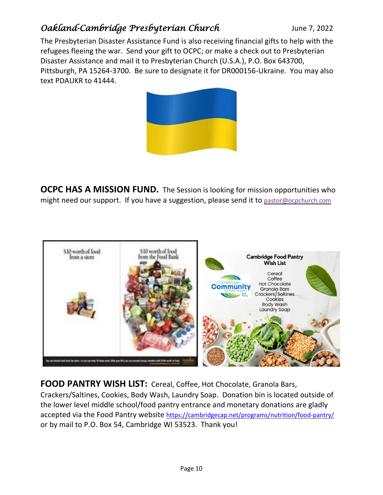The Presbyterian Disaster Assistance Fund is also receiving financial gifts to help with the refugees fleeing the war. Send your gift to OCPC; or make a check out to Presbyterian Disaster Assistance and mail it to Presbyterian Church (U.S.A.), P.O. Box 643700, Pittsburgh, PA 15264-3700. Be sure to designate it for DR000156-Ukraine. You may also text PDAUKR to 41444.



**OCPC HAS A MISSION FUND.** The Session is looking for mission opportunities who might need our support. If you have a suggestion, please send it to [pastor@ocpchurch.com](mailto:pastor@ocpchurch.com)



**FOOD PANTRY WISH LIST:** Cereal, Coffee, Hot Chocolate, Granola Bars, Crackers/Saltines, Cookies, Body Wash, Laundry Soap. Donation bin is located outside of the lower level middle school/food pantry entrance and monetary donations are gladly accepted via the Food Pantry website <https://cambridgecap.net/programs/nutrition/food-pantry/> or by mail to P.O. Box 54, Cambridge WI 53523. Thank you!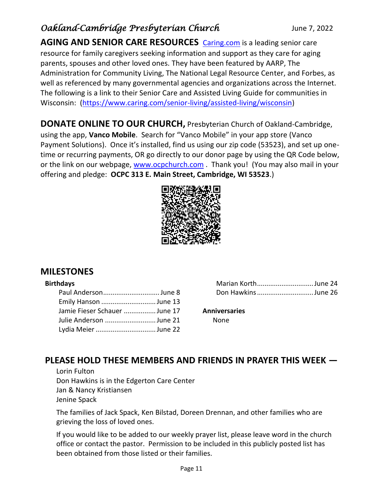AGING AND SENIOR CARE RESOURCES **[Caring.com](http://caring.com/)** is a leading senior care resource for family caregivers seeking information and support as they care for aging parents, spouses and other loved ones. They have been featured by AARP, The Administration for Community Living, The National Legal Resource Center, and Forbes, as well as referenced by many governmental agencies and organizations across the Internet. The following is a link to their Senior Care and Assisted Living Guide for communities in Wisconsin: [\(https://www.caring.com/senior-living/assisted-living/wisconsin\)](https://www.caring.com/senior-living/assisted-living/wisconsin)

**DONATE ONLINE TO OUR CHURCH,** Presbyterian Church of Oakland-Cambridge, using the app, **Vanco Mobile**. Search for "Vanco Mobile" in your app store (Vanco Payment Solutions). Once it's installed, find us using our zip code (53523), and set up onetime or recurring payments, OR go directly to our donor page by using the QR Code below, or the link on our webpage, [www.ocpchurch.com](http://www.ocpchurch.com/). Thank you! (You may also mail in your offering and pledge: **OCPC 313 E. Main Street, Cambridge, WI 53523**.)



### **MILESTONES**

#### **Birthdays**

| Paul AndersonJune 8          |  |
|------------------------------|--|
| Emily Hanson June 13         |  |
| Jamie Fieser Schauer June 17 |  |
| Julie Anderson June 21       |  |
| Lydia Meier June 22          |  |

| Marian KorthJune 24 |  |
|---------------------|--|
| Don HawkinsJune 26  |  |

#### **Anniversaries**

None

### **PLEASE HOLD THESE MEMBERS AND FRIENDS IN PRAYER THIS WEEK —**

Lorin Fulton Don Hawkins is in the Edgerton Care Center Jan & Nancy Kristiansen Jenine Spack

The families of Jack Spack, Ken Bilstad, Doreen Drennan, and other families who are grieving the loss of loved ones.

If you would like to be added to our weekly prayer list, please leave word in the church office or contact the pastor. Permission to be included in this publicly posted list has been obtained from those listed or their families.